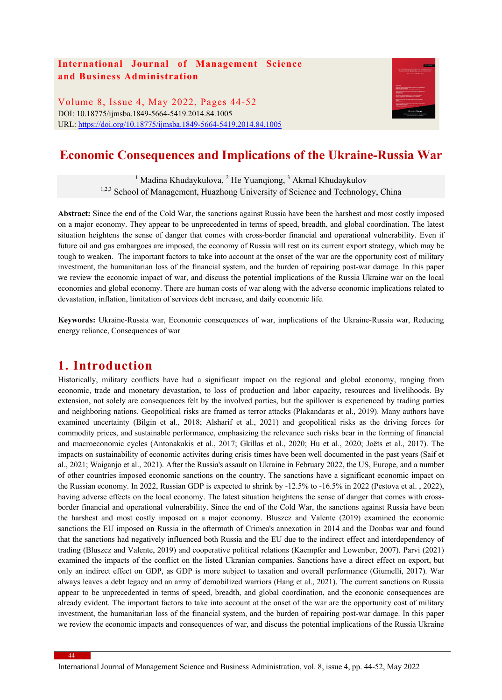### **International Journal of Management Science and Business Administration**

Volume 8, Issue 4, May 2022, Pages 44-52 DOI: 10.18775/ijmsba.1849-5664-5419.2014.84.1005 URL: https://doi.org/10.18775/ijmsba.1849-5664-5419.2014.84.1005



# **Economic Consequences and Implications of the Ukraine-Russia War**

<sup>1</sup> Madina Khudaykulova, <sup>2</sup> He Yuanqiong, <sup>3</sup> Akmal Khudaykulov <sup>1,2,3</sup> School of Management, Huazhong University of Science and Technology, China

**Abstract:** Since the end of the Cold War, the sanctions against Russia have been the harshest and most costly imposed on a major economy. They appear to be unprecedented in terms of speed, breadth, and global coordination. The latest situation heightens the sense of danger that comes with cross-border financial and operational vulnerability. Even if future oil and gas embargoes are imposed, the economy of Russia will rest on its current export strategy, which may be tough to weaken. The important factors to take into account at the onset of the war are the opportunity cost of military investment, the humanitarian loss of the financial system, and the burden of repairing post-war damage. In this paper we review the economic impact of war, and discuss the potential implications of the Russia Ukraine war on the local economies and global economy. There are human costs of war along with the adverse economic implications related to devastation, inflation, limitation of services debt increase, and daily economic life.

**Keywords:** Ukraine-Russia war, Economic consequences of war, implications of the Ukraine-Russia war, Reducing energy reliance, Consequences of war

### **1. Introduction**

Historically, military conflicts have had a significant impact on the regional and global economy, ranging from economic, trade and monetary devastation, to loss of production and labor capacity, resources and livelihoods. By extension, not solely are consequences felt by the involved parties, but the spillover is experienced by trading parties and neighboring nations. Geopolitical risks are framed as terror attacks (Plakandaras et al., 2019). Many authors have examined uncertainty (Bilgin et al., 2018; Alsharif et al., 2021) and geopolitical risks as the driving forces for commodity prices, and sustainable performance, emphasizing the relevance such risks bear in the forming of financial and macroeconomic cycles (Antonakakis et al., 2017; Gkillas et al., 2020; Hu et al., 2020; Joëts et al., 2017). The impacts on sustainability of economic activites during crisis times have been well documented in the past years (Saif et al., 2021; Waiganjo et al., 2021). After the Russia's assault on Ukraine in February 2022, the US, Europe, and a number of other countries imposed economic sanctions on the country. The sanctions have a significant economic impact on the Russian economy. In 2022, Russian GDP is expected to shrink by -12.5% to -16.5% in 2022 (Pestova et al. , 2022), having adverse effects on the local economy. The latest situation heightens the sense of danger that comes with crossborder financial and operational vulnerability. Since the end of the Cold War, the sanctions against Russia have been the harshest and most costly imposed on a major economy. Bluszcz and Valente (2019) examined the economic sanctions the EU imposed on Russia in the aftermath of Crimea's annexation in 2014 and the Donbas war and found that the sanctions had negatively influenced both Russia and the EU due to the indirect effect and interdependency of trading (Bluszcz and Valente, 2019) and cooperative political relations (Kaempfer and Lowenber, 2007). Parvi (2021) examined the impacts of the conflict on the listed Ukranian companies. Sanctions have a direct effect on export, but only an indirect effect on GDP, as GDP is more subject to taxation and overall performance (Giumelli, 2017). War always leaves a debt legacy and an army of demobilized warriors (Hang et al., 2021). The current sanctions on Russia appear to be unprecedented in terms of speed, breadth, and global coordination, and the econonic consequences are already evident. The important factors to take into account at the onset of the war are the opportunity cost of military investment, the humanitarian loss of the financial system, and the burden of repairing post-war damage. In this paper we review the economic impacts and consequences of war, and discuss the potential implications of the Russia Ukraine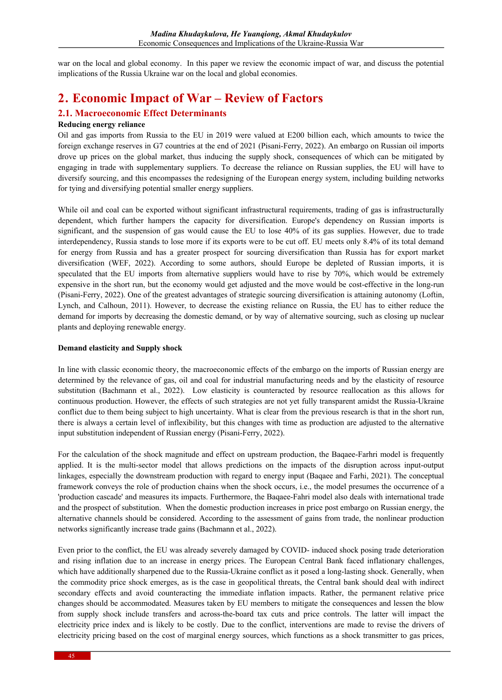war on the local and global economy. In this paper we review the economic impact of war, and discuss the potential implications of the Russia Ukraine war on the local and global economies.

## **2. Economic Impact of War – Review of Factors**

### **2.1. Macroeconomic Effect Determinants**

#### **Reducing energy reliance**

Oil and gas imports from Russia to the EU in 2019 were valued at E200 billion each, which amounts to twice the foreign exchange reserves in G7 countries at the end of 2021 (Pisani-Ferry, 2022). An embargo on Russian oil imports drove up prices on the global market, thus inducing the supply shock, consequences of which can be mitigated by engaging in trade with supplementary suppliers. To decrease the reliance on Russian supplies, the EU will have to diversify sourcing, and this encompasses the redesigning of the European energy system, including building networks for tying and diversifying potential smaller energy suppliers.

While oil and coal can be exported without significant infrastructural requirements, trading of gas is infrastructurally dependent, which further hampers the capacity for diversification. Europe's dependency on Russian imports is significant, and the suspension of gas would cause the EU to lose 40% of its gas supplies. However, due to trade interdependency, Russia stands to lose more if its exports were to be cut off. EU meets only 8.4% of its total demand for energy from Russia and has a greater prospect for sourcing diversification than Russia has for export market diversification (WEF, 2022). According to some authors, should Europe be depleted of Russian imports, it is speculated that the EU imports from alternative suppliers would have to rise by 70%, which would be extremely expensive in the short run, but the economy would get adjusted and the move would be cost-effective in the long-run (Pisani-Ferry, 2022). One of the greatest advantages of strategic sourcing diversification is attaining autonomy (Loftin, Lynch, and Calhoun, 2011). However, to decrease the existing reliance on Russia, the EU has to either reduce the demand for imports by decreasing the domestic demand, or by way of alternative sourcing, such as closing up nuclear plants and deploying renewable energy.

#### **Demand elasticity and Supply shock**

In line with classic economic theory, the macroeconomic effects of the embargo on the imports of Russian energy are determined by the relevance of gas, oil and coal for industrial manufacturing needs and by the elasticity of resource substitution (Bachmann et al., 2022). Low elasticity is counteracted by resource reallocation as this allows for continuous production. However, the effects of such strategies are not yet fully transparent amidst the Russia-Ukraine conflict due to them being subject to high uncertainty. What is clear from the previous research is that in the short run, there is always a certain level of inflexibility, but this changes with time as production are adjusted to the alternative input substitution independent of Russian energy (Pisani-Ferry, 2022).

For the calculation of the shock magnitude and effect on upstream production, the Baqaee-Farhri model is frequently applied. It is the multi-sector model that allows predictions on the impacts of the disruption across input-output linkages, especially the downstream production with regard to energy input (Baqaee and Farhi, 2021). The conceptual framework conveys the role of production chains when the shock occurs, i.e., the model presumes the occurrence of a 'production cascade' and measures its impacts. Furthermore, the Baqaee-Fahri model also deals with international trade and the prospect of substitution. When the domestic production increases in price post embargo on Russian energy, the alternative channels should be considered. According to the assessment of gains from trade, the nonlinear production networks significantly increase trade gains (Bachmann et al., 2022).

Even prior to the conflict, the EU was already severely damaged by COVID- induced shock posing trade deterioration and rising inflation due to an increase in energy prices. The European Central Bank faced inflationary challenges, which have additionally sharpened due to the Russia-Ukraine conflict as it posed a long-lasting shock. Generally, when the commodity price shock emerges, as is the case in geopolitical threats, the Central bank should deal with indirect secondary effects and avoid counteracting the immediate inflation impacts. Rather, the permanent relative price changes should be accommodated. Measures taken by EU members to mitigate the consequences and lessen the blow from supply shock include transfers and across-the-board tax cuts and price controls. The latter will impact the electricity price index and is likely to be costly. Due to the conflict, interventions are made to revise the drivers of electricity pricing based on the cost of marginal energy sources, which functions as a shock transmitter to gas prices,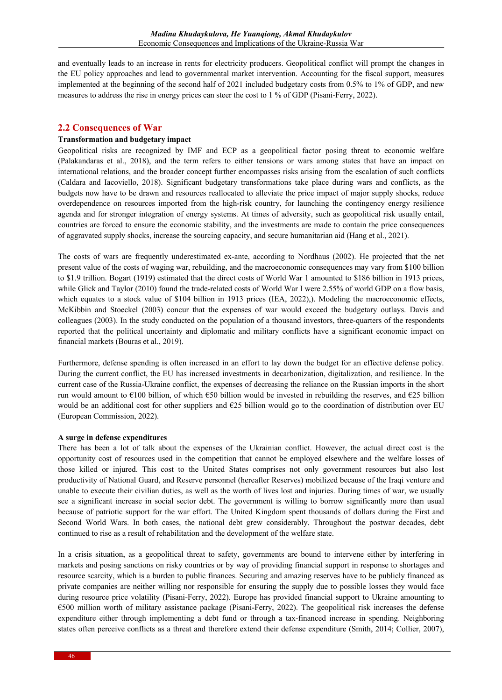and eventually leads to an increase in rents for electricity producers. Geopolitical conflict will prompt the changes in the EU policy approaches and lead to governmental market intervention. Accounting for the fiscal support, measures implemented at the beginning of the second half of 2021 included budgetary costs from 0.5% to 1% of GDP, and new measures to address the rise in energy prices can steer the cost to 1 % of GDP (Pisani-Ferry, 2022).

### **2.2 Consequences of War**

#### **Transformation and budgetary impact**

Geopolitical risks are recognized by IMF and ECP as a geopolitical factor posing threat to economic welfare (Palakandaras et al., 2018), and the term refers to either tensions or wars among states that have an impact on international relations, and the broader concept further encompasses risks arising from the escalation of such conflicts (Caldara and Iacoviello, 2018). Significant budgetary transformations take place during wars and conflicts, as the budgets now have to be drawn and resources reallocated to alleviate the price impact of major supply shocks, reduce overdependence on resources imported from the high-risk country, for launching the contingency energy resilience agenda and for stronger integration of energy systems. At times of adversity, such as geopolitical risk usually entail, countries are forced to ensure the economic stability, and the investments are made to contain the price consequences of aggravated supply shocks, increase the sourcing capacity, and secure humanitarian aid (Hang et al., 2021).

The costs of wars are frequently underestimated ex-ante, according to Nordhaus (2002). He projected that the net present value of the costs of waging war, rebuilding, and the macroeconomic consequences may vary from \$100 billion to \$1.9 trillion. Bogart (1919) estimated that the direct costs of World War 1 amounted to \$186 billion in 1913 prices, while Glick and Taylor (2010) found the trade-related costs of World War I were 2.55% of world GDP on a flow basis, which equates to a stock value of \$104 billion in 1913 prices (IEA, 2022),). Modeling the macroeconomic effects, McKibbin and Stoeckel (2003) concur that the expenses of war would exceed the budgetary outlays. Davis and colleagues (2003). In the study conducted on the population of a thousand investors, three-quarters of the respondents reported that the political uncertainty and diplomatic and military conflicts have a significant economic impact on financial markets (Bouras et al., 2019).

Furthermore, defense spending is often increased in an effort to lay down the budget for an effective defense policy. During the current conflict, the EU has increased investments in decarbonization, digitalization, and resilience. In the current case of the Russia-Ukraine conflict, the expenses of decreasing the reliance on the Russian imports in the short run would amount to  $\epsilon$ 100 billion, of which  $\epsilon$ 50 billion would be invested in rebuilding the reserves, and  $\epsilon$ 25 billion would be an additional cost for other suppliers and  $E25$  billion would go to the coordination of distribution over EU (European Commission, 2022).

#### **A surge in defense expenditures**

There has been a lot of talk about the expenses of the Ukrainian conflict. However, the actual direct cost is the opportunity cost of resources used in the competition that cannot be employed elsewhere and the welfare losses of those killed or injured. This cost to the United States comprises not only government resources but also lost productivity of National Guard, and Reserve personnel (hereafter Reserves) mobilized because of the Iraqi venture and unable to execute their civilian duties, as well as the worth of lives lost and injuries. During times of war, we usually see a significant increase in social sector debt. The government is willing to borrow significantly more than usual because of patriotic support for the war effort. The United Kingdom spent thousands of dollars during the First and Second World Wars. In both cases, the national debt grew considerably. Throughout the postwar decades, debt continued to rise as a result of rehabilitation and the development of the welfare state.

In a crisis situation, as a geopolitical threat to safety, governments are bound to intervene either by interfering in markets and posing sanctions on risky countries or by way of providing financial support in response to shortages and resource scarcity, which is a burden to public finances. Securing and amazing reserves have to be publicly financed as private companies are neither willing nor responsible for ensuring the supply due to possible losses they would face during resource price volatility (Pisani-Ferry, 2022). Europe has provided financial support to Ukraine amounting to €500 million worth of military assistance package (Pisani-Ferry, 2022). The geopolitical risk increases the defense expenditure either through implementing a debt fund or through a tax-financed increase in spending. Neighboring states often perceive conflicts as a threat and therefore extend their defense expenditure (Smith, 2014; Collier, 2007),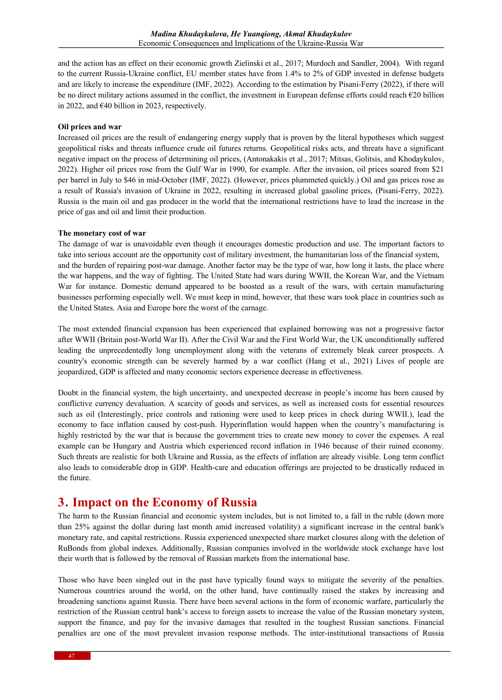and the action has an effect on their economic growth Zielinski et al., 2017; Murdoch and Sandler, 2004). With regard to the current Russia-Ukraine conflict, EU member states have from 1.4% to 2% of GDP invested in defense budgets and are likely to increase the expenditure (IMF, 2022). According to the estimation by Pisani-Ferry (2022), if there will be no direct military actions assumed in the conflict, the investment in European defense efforts could reach €20 billion in 2022, and  $\epsilon$ 40 billion in 2023, respectively.

#### **Oil prices and war**

Increased oil prices are the result of endangering energy supply that is proven by the literal hypotheses which suggest geopolitical risks and threats influence crude oil futures returns. Geopolitical risks acts, and threats have a significant negative impact on the process of determining oil prices, (Antonakakis et al., 2017; Mitsas, Golitsis, and Khodaykulov, 2022). Higher oil prices rose from the Gulf War in 1990, for example. After the invasion, oil prices soared from \$21 per barrel in July to \$46 in mid-October (IMF, 2022). (However, prices plummeted quickly.) Oil and gas prices rose as a result of Russia's invasion of Ukraine in 2022, resulting in increased global gasoline prices, (Pisani-Ferry, 2022). Russia is the main oil and gas producer in the world that the international restrictions have to lead the increase in the price of gas and oil and limit their production.

#### **The monetary cost of war**

The damage of war is unavoidable even though it encourages domestic production and use. The important factors to take into serious account are the opportunity cost of military investment, the humanitarian loss of the financial system, and the burden of repairing post-war damage. Another factor may be the type of war, how long it lasts, the place where the war happens, and the way of fighting. The United State had wars during WWII, the Korean War, and the Vietnam War for instance. Domestic demand appeared to be boosted as a result of the wars, with certain manufacturing businesses performing especially well. We must keep in mind, however, that these wars took place in countries such as the United States. Asia and Europe bore the worst of the carnage.

The most extended financial expansion has been experienced that explained borrowing was not a progressive factor after WWII (Britain post-World War II). After the Civil War and the First World War, the UK unconditionally suffered leading the unprecedentedly long unemployment along with the veterans of extremely bleak career prospects. A country's economic strength can be severely harmed by a war conflict (Hang et al., 2021) Lives of people are jeopardized, GDP is affected and many economic sectors experience decrease in effectiveness.

Doubt in the financial system, the high uncertainty, and unexpected decrease in people's income has been caused by conflictive currency devaluation. A scarcity of goods and services, as well as increased costs for essential resources such as oil (Interestingly, price controls and rationing were used to keep prices in check during WWII.), lead the economy to face inflation caused by cost-push. Hyperinflation would happen when the country's manufacturing is highly restricted by the war that is because the government tries to create new money to cover the expenses. A real example can be Hungary and Austria which experienced record inflation in 1946 because of their ruined economy. Such threats are realistic for both Ukraine and Russia, as the effects of inflation are already visible. Long term conflict also leads to considerable drop in GDP. Health-care and education offerings are projected to be drastically reduced in the future.

### **3. Impact on the Economy of Russia**

The harm to the Russian financial and economic system includes, but is not limited to, a fall in the ruble (down more than 25% against the dollar during last month amid increased volatility) a significant increase in the central bank's monetary rate, and capital restrictions. Russia experienced unexpected share market closures along with the deletion of RuBonds from global indexes. Additionally, Russian companies involved in the worldwide stock exchange have lost their worth that is followed by the removal of Russian markets from the international base.

Those who have been singled out in the past have typically found ways to mitigate the severity of the penalties. Numerous countries around the world, on the other hand, have continually raised the stakes by increasing and broadening sanctions against Russia. There have been several actions in the form of economic warfare, particularly the restriction of the Russian central bank's access to foreign assets to increase the value of the Russian monetary system, support the finance, and pay for the invasive damages that resulted in the toughest Russian sanctions. Financial penalties are one of the most prevalent invasion response methods. The inter-institutional transactions of Russia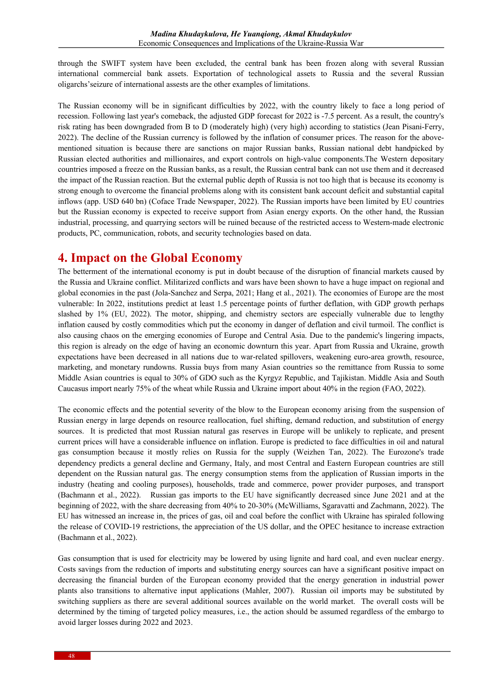through the SWIFT system have been excluded, the central bank has been frozen along with several Russian international commercial bank assets. Exportation of technological assets to Russia and the several Russian oligarchs'seizure of international assests are the other examples of limitations.

The Russian economy will be in significant difficulties by 2022, with the country likely to face a long period of recession. Following last year's comeback, the adjusted GDP forecast for 2022 is -7.5 percent. As a result, the country's risk rating has been downgraded from B to D (moderately high) (very high) according to statistics (Jean Pisani-Ferry, 2022). The decline of the Russian currency is followed by the inflation of consumer prices. The reason for the abovementioned situation is because there are sanctions on major Russian banks, Russian national debt handpicked by Russian elected authorities and millionaires, and export controls on high-value components.The Western depositary countries imposed a freeze on the Russian banks, as a result, the Russian central bank can not use them and it decreased the impact of the Russian reaction. But the external public depth of Russia is not too high that is because its economy is strong enough to overcome the financial problems along with its consistent bank account deficit and substantial capital inflows (app. USD 640 bn) (Coface Trade Newspaper, 2022). The Russian imports have been limited by EU countries but the Russian economy is expected to receive support from Asian energy exports. On the other hand, the Russian industrial, processing, and quarrying sectors will be ruined because of the restricted access to Western-made electronic products, PC, communication, robots, and security technologies based on data.

## **4. Impact on the Global Economy**

The betterment of the international economy is put in doubt because of the disruption of financial markets caused by the Russia and Ukraine conflict. Militarized conflicts and wars have been shown to have a huge impact on regional and global economies in the past (Jola-Sanchez and Serpa, 2021; Hang et al., 2021). The economies of Europe are the most vulnerable: In 2022, institutions predict at least 1.5 percentage points of further deflation, with GDP growth perhaps slashed by 1% (EU, 2022). The motor, shipping, and chemistry sectors are especially vulnerable due to lengthy inflation caused by costly commodities which put the economy in danger of deflation and civil turmoil. The conflict is also causing chaos on the emerging economies of Europe and Central Asia. Due to the pandemic's lingering impacts, this region is already on the edge of having an economic downturn this year. Apart from Russia and Ukraine, growth expectations have been decreased in all nations due to war-related spillovers, weakening euro-area growth, resource, marketing, and monetary rundowns. Russia buys from many Asian countries so the remittance from Russia to some Middle Asian countries is equal to 30% of GDO such as the Kyrgyz Republic, and Tajikistan. Middle Asia and South Caucasus import nearly 75% of the wheat while Russia and Ukraine import about 40% in the region (FAO, 2022).

The economic effects and the potential severity of the blow to the European economy arising from the suspension of Russian energy in large depends on resource reallocation, fuel shifting, demand reduction, and substitution of energy sources. It is predicted that most Russian natural gas reserves in Europe will be unlikely to replicate, and present current prices will have a considerable influence on inflation. Europe is predicted to face difficulties in oil and natural gas consumption because it mostly relies on Russia for the supply (Weizhen Tan, 2022). The Eurozone's trade dependency predicts a general decline and Germany, Italy, and most Central and Eastern European countries are still dependent on the Russian natural gas. The energy consumption stems from the application of Russian imports in the industry (heating and cooling purposes), households, trade and commerce, power provider purposes, and transport (Bachmann et al., 2022). Russian gas imports to the EU have significantly decreased since June 2021 and at the beginning of 2022, with the share decreasing from 40% to 20-30% (McWilliams, Sgaravatti and Zachmann, 2022). The EU has witnessed an increase in, the prices of gas, oil and coal before the conflict with Ukraine has spiraled following the release of COVID-19 restrictions, the appreciation of the US dollar, and the OPEC hesitance to increase extraction (Bachmann et al., 2022).

Gas consumption that is used for electricity may be lowered by using lignite and hard coal, and even nuclear energy. Costs savings from the reduction of imports and substituting energy sources can have a significant positive impact on decreasing the financial burden of the European economy provided that the energy generation in industrial power plants also transitions to alternative input applications (Mahler, 2007). Russian oil imports may be substituted by switching suppliers as there are several additional sources available on the world market. The overall costs will be determined by the timing of targeted policy measures, i.e., the action should be assumed regardless of the embargo to avoid larger losses during 2022 and 2023.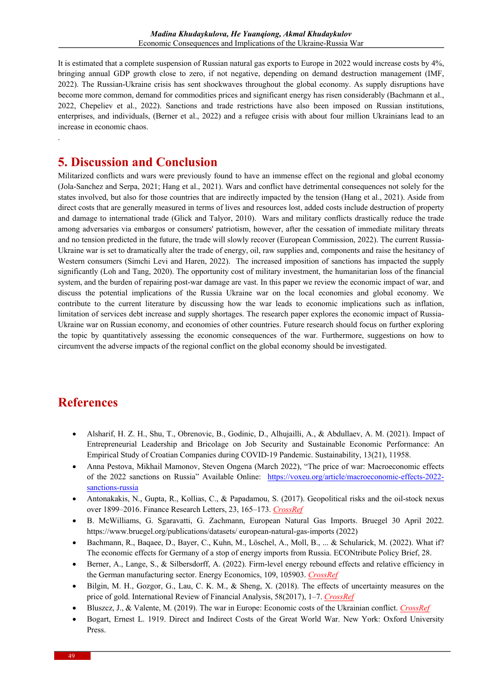It is estimated that a complete suspension of Russian natural gas exports to Europe in 2022 would increase costs by 4%, bringing annual GDP growth close to zero, if not negative, depending on demand destruction management (IMF, 2022). The Russian-Ukraine crisis has sent shockwaves throughout the global economy. As supply disruptions have become more common, demand for commodities prices and significant energy has risen considerably (Bachmann et al., 2022, Chepeliev et al., 2022). Sanctions and trade restrictions have also been imposed on Russian institutions, enterprises, and individuals, (Berner et al., 2022) and a refugee crisis with about four million Ukrainians lead to an increase in economic chaos.

### **5. Discussion and Conclusion**

Militarized conflicts and wars were previously found to have an immense effect on the regional and global economy (Jola-Sanchez and Serpa, 2021; Hang et al., 2021). Wars and conflict have detrimental consequences not solely for the states involved, but also for those countries that are indirectly impacted by the tension (Hang et al., 2021). Aside from direct costs that are generally measured in terms of lives and resources lost, added costs include destruction of property and damage to international trade (Glick and Talyor, 2010). Wars and military conflicts drastically reduce the trade among adversaries via embargos or consumers' patriotism, however, after the cessation of immediate military threats and no tension predicted in the future, the trade will slowly recover (European Commission, 2022). The current Russia-Ukraine war is set to dramatically alter the trade of energy, oil, raw supplies and, components and raise the hesitancy of Western consumers (Simchi Levi and Haren, 2022). The increased imposition of sanctions has impacted the supply significantly (Loh and Tang, 2020). The opportunity cost of military investment, the humanitarian loss of the financial system, and the burden of repairing post-war damage are vast. In this paper we review the economic impact of war, and discuss the potential implications of the Russia Ukraine war on the local economies and global economy. We contribute to the current literature by discussing how the war leads to economic implications such as inflation, limitation of services debt increase and supply shortages. The research paper explores the economic impact of Russia-Ukraine war on Russian economy, and economies of other countries. Future research should focus on further exploring the topic by quantitatively assessing the economic consequences of the war. Furthermore, suggestions on how to circumvent the adverse impacts of the regional conflict on the global economy should be investigated.

# **References**

.

- Alsharif, H. Z. H., Shu, T., Obrenovic, B., Godinic, D., Alhujailli, A., & Abdullaev, A. M. (2021). Impact of Entrepreneurial Leadership and Bricolage on Job Security and Sustainable Economic Performance: An Empirical Study of Croatian Companies during COVID-19 Pandemic. Sustainability, 13(21), 11958.
- Anna Pestova, Mikhail Mamonov, Steven Ongena (March 2022), "The price of war: Macroeconomic effects of the 2022 sanctions on Russia" Available Online: https://voxeu.org/article/macroeconomic-effects-2022 sanctions-russia
- Antonakakis, N., Gupta, R., Kollias, C., & Papadamou, S. (2017). Geopolitical risks and the oil-stock nexus over 1899–2016. Finance Research Letters, 23, 165–173. *CrossRef*
- B. McWilliams, G. Sgaravatti, G. Zachmann, European Natural Gas Imports. Bruegel 30 April 2022. https://www.bruegel.org/publications/datasets/ european-natural-gas-imports (2022)
- Bachmann, R., Baqaee, D., Bayer, C., Kuhn, M., Löschel, A., Moll, B., ... & Schularick, M. (2022). What if? The economic effects for Germany of a stop of energy imports from Russia. ECONtribute Policy Brief, 28.
- Berner, A., Lange, S., & Silbersdorff, A. (2022). Firm-level energy rebound effects and relative efficiency in the German manufacturing sector. Energy Economics, 109, 105903. *CrossRef*
- Bilgin, M. H., Gozgor, G., Lau, C. K. M., & Sheng, X. (2018). The effects of uncertainty measures on the price of gold. International Review of Financial Analysis, 58(2017), 1–7. *CrossRef*
- Bluszcz, J., & Valente, M. (2019). The war in Europe: Economic costs of the Ukrainian conflict. *CrossRef*
- Bogart, Ernest L. 1919. Direct and Indirect Costs of the Great World War. New York: Oxford University Press.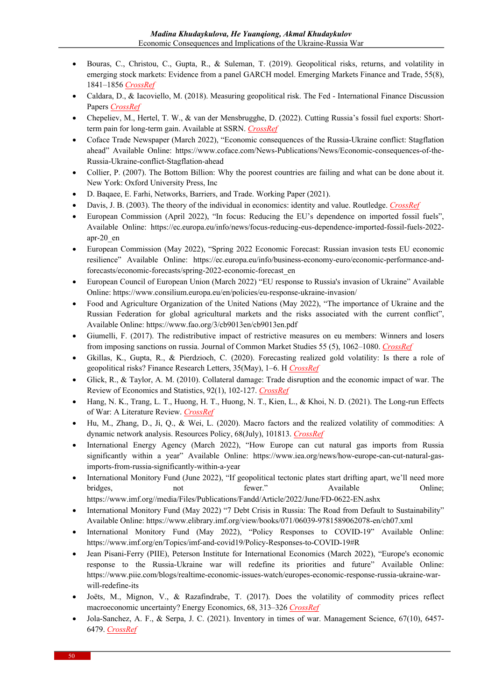- Bouras, C., Christou, C., Gupta, R., & Suleman, T. (2019). Geopolitical risks, returns, and volatility in emerging stock markets: Evidence from a panel GARCH model. Emerging Markets Finance and Trade, 55(8), 1841–1856 *CrossRef*
- Caldara, D., & Iacoviello, M. (2018). Measuring geopolitical risk. The Fed International Finance Discussion Papers *CrossRef*
- Chepeliev, M., Hertel, T. W., & van der Mensbrugghe, D. (2022). Cutting Russia's fossil fuel exports: Shortterm pain for long-term gain. Available at SSRN. *CrossRef*
- Coface Trade Newspaper (March 2022), "Economic consequences of the Russia-Ukraine conflict: Stagflation ahead" Available Online: https://www.coface.com/News-Publications/News/Economic-consequences-of-the-Russia-Ukraine-conflict-Stagflation-ahead
- Collier, P. (2007). The Bottom Billion: Why the poorest countries are failing and what can be done about it. New York: Oxford University Press, Inc
- D. Baqaee, E. Farhi, Networks, Barriers, and Trade. Working Paper (2021).
- Davis, J. B. (2003). The theory of the individual in economics: identity and value. Routledge. *CrossRef*
- European Commission (April 2022), "In focus: Reducing the EU's dependence on imported fossil fuels", Available Online: https://ec.europa.eu/info/news/focus-reducing-eus-dependence-imported-fossil-fuels-2022 apr-20\_en
- European Commission (May 2022), "Spring 2022 Economic Forecast: Russian invasion tests EU economic resilience" Available Online: https://ec.europa.eu/info/business-economy-euro/economic-performance-andforecasts/economic-forecasts/spring-2022-economic-forecast\_en
- European Council of European Union (March 2022) "EU response to Russia's invasion of Ukraine" Available Online: https://www.consilium.europa.eu/en/policies/eu-response-ukraine-invasion/
- Food and Agriculture Organization of the United Nations (May 2022), "The importance of Ukraine and the Russian Federation for global agricultural markets and the risks associated with the current conflict", Available Online: https://www.fao.org/3/cb9013en/cb9013en.pdf
- Giumelli, F. (2017). The redistributive impact of restrictive measures on eu members: Winners and losers from imposing sanctions on russia. Journal of Common Market Studies 55 (5), 1062–1080. *CrossRef*
- Gkillas, K., Gupta, R., & Pierdzioch, C. (2020). Forecasting realized gold volatility: Is there a role of geopolitical risks? Finance Research Letters, 35(May), 1–6. H *CrossRef*
- Glick, R., & Taylor, A. M. (2010). Collateral damage: Trade disruption and the economic impact of war. The Review of Economics and Statistics, 92(1), 102-127. *CrossRef*
- Hang, N. K., Trang, L. T., Huong, H. T., Huong, N. T., Kien, L., & Khoi, N. D. (2021). The Long-run Effects of War: A Literature Review. *CrossRef*
- Hu, M., Zhang, D., Ji, Q., & Wei, L. (2020). Macro factors and the realized volatility of commodities: A dynamic network analysis. Resources Policy, 68(July), 101813. *CrossRef*
- International Energy Agency (March 2022), "How Europe can cut natural gas imports from Russia significantly within a year" Available Online: https://www.iea.org/news/how-europe-can-cut-natural-gasimports-from-russia-significantly-within-a-year
- International Monitory Fund (June 2022), "If geopolitical tectonic plates start drifting apart, we'll need more bridges, hot het fewer." Available Online; https://www.imf.org//media/Files/Publications/Fandd/Article/2022/June/FD-0622-EN.ashx
- International Monitory Fund (May 2022) "7 Debt Crisis in Russia: The Road from Default to Sustainability" Available Online: https://www.elibrary.imf.org/view/books/071/06039-9781589062078-en/ch07.xml
- International Monitory Fund (May 2022), "Policy Responses to COVID-19" Available Online: https://www.imf.org/en/Topics/imf-and-covid19/Policy-Responses-to-COVID-19#R
- Jean Pisani-Ferry (PIIE), Peterson Institute for International Economics (March 2022), "Europe's economic response to the Russia-Ukraine war will redefine its priorities and future" Available Online: https://www.piie.com/blogs/realtime-economic-issues-watch/europes-economic-response-russia-ukraine-warwill-redefine-its
- Joëts, M., Mignon, V., & Razafindrabe, T. (2017). Does the volatility of commodity prices reflect macroeconomic uncertainty? Energy Economics, 68, 313–326 *CrossRef*
- Jola-Sanchez, A. F., & Serpa, J. C. (2021). Inventory in times of war. Management Science, 67(10), 6457- 6479. *CrossRef*